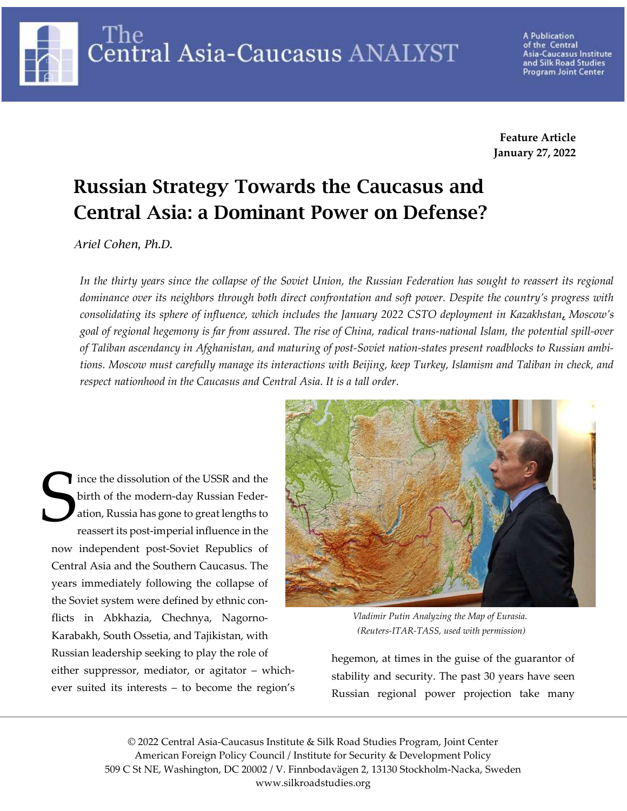The Central Asia-Caucasus ANALYST

A Publication of the Central Asia-Caucasus Institute and Silk Road Studies Program Joint Center

Feature Article January 27, 2022

# Russian Strategy Towards the Caucasus and Central Asia: a Dominant Power on Defense?

Ariel Cohen, Ph.D.

In the thirty years since the collapse of the Soviet Union, the Russian Federation has sought to reassert its regional dominance over its neighbors through both direct confrontation and soft power. Despite the country's progress with consolidating its sphere of influence, which includes the January 2022 CSTO deployment in Kazakhstan, Moscow's goal of regional hegemony is far from assured. The rise of China, radical trans-national Islam, the potential spill-over of Taliban ascendancy in Afghanistan, and maturing of post-Soviet nation-states present roadblocks to Russian ambitions. Moscow must carefully manage its interactions with Beijing, keep Turkey, Islamism and Taliban in check, and respect nationhood in the Caucasus and Central Asia. It is a tall order.

ince the dissolution of the USSR and the birth of the modern-day Russian Federation, Russia has gone to great lengths to reassert its post-imperial influence in the now independent post-Soviet Republics of Central Asia and the Southern Caucasus. The years immediately following the collapse of the Soviet system were defined by ethnic conflicts in Abkhazia, Chechnya, Nagorno-Karabakh, South Ossetia, and Tajikistan, with Russian leadership seeking to play the role of either suppressor, mediator, or agitator – whichever suited its interests – to become the region's S bin<br>Sati



Vladimir Putin Analyzing the Map of Eurasia. (Reuters-ITAR-TASS, used with permission)

hegemon, at times in the guise of the guarantor of stability and security. The past 30 years have seen Russian regional power projection take many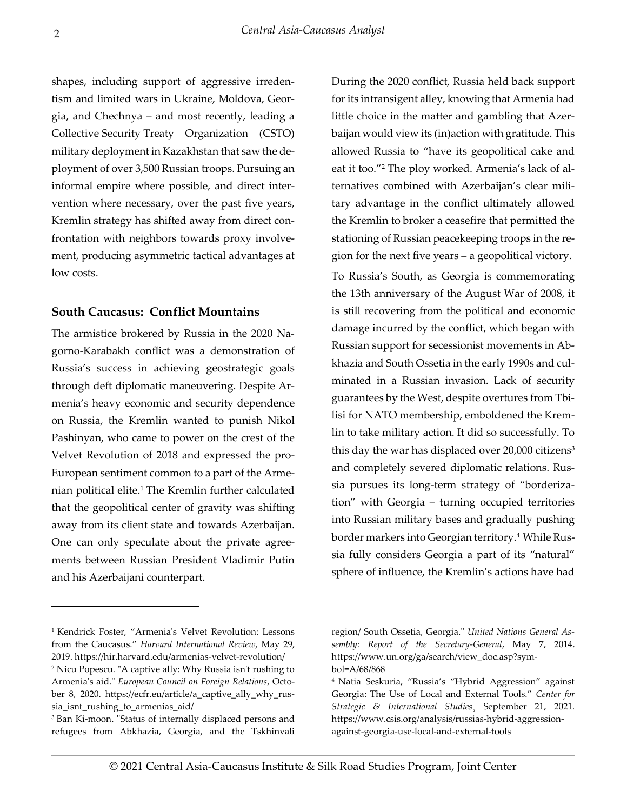shapes, including support of aggressive irredentism and limited wars in Ukraine, Moldova, Georgia, and Chechnya – and most recently, leading a Collective Security Treaty Organization (CSTO) military deployment in Kazakhstan that saw the deployment of over 3,500 Russian troops. Pursuing an informal empire where possible, and direct intervention where necessary, over the past five years, Kremlin strategy has shifted away from direct confrontation with neighbors towards proxy involvement, producing asymmetric tactical advantages at low costs.

### South Caucasus: Conflict Mountains

The armistice brokered by Russia in the 2020 Nagorno-Karabakh conflict was a demonstration of Russia's success in achieving geostrategic goals through deft diplomatic maneuvering. Despite Armenia's heavy economic and security dependence on Russia, the Kremlin wanted to punish Nikol Pashinyan, who came to power on the crest of the Velvet Revolution of 2018 and expressed the pro-European sentiment common to a part of the Armenian political elite.<sup>1</sup> The Kremlin further calculated that the geopolitical center of gravity was shifting away from its client state and towards Azerbaijan. One can only speculate about the private agreements between Russian President Vladimir Putin and his Azerbaijani counterpart.

During the 2020 conflict, Russia held back support for its intransigent alley, knowing that Armenia had little choice in the matter and gambling that Azerbaijan would view its (in)action with gratitude. This allowed Russia to "have its geopolitical cake and eat it too."<sup>2</sup> The ploy worked. Armenia's lack of alternatives combined with Azerbaijan's clear military advantage in the conflict ultimately allowed the Kremlin to broker a ceasefire that permitted the stationing of Russian peacekeeping troops in the region for the next five years – a geopolitical victory.

To Russia's South, as Georgia is commemorating the 13th anniversary of the August War of 2008, it is still recovering from the political and economic damage incurred by the conflict, which began with Russian support for secessionist movements in Abkhazia and South Ossetia in the early 1990s and culminated in a Russian invasion. Lack of security guarantees by the West, despite overtures from Tbilisi for NATO membership, emboldened the Kremlin to take military action. It did so successfully. To this day the war has displaced over 20,000 citizens<sup>3</sup> and completely severed diplomatic relations. Russia pursues its long-term strategy of "borderization" with Georgia – turning occupied territories into Russian military bases and gradually pushing border markers into Georgian territory.<sup>4</sup> While Russia fully considers Georgia a part of its "natural" sphere of influence, the Kremlin's actions have had

<sup>1</sup> Kendrick Foster, "Armenia's Velvet Revolution: Lessons from the Caucasus." Harvard International Review, May 29, 2019. https://hir.harvard.edu/armenias-velvet-revolution/

<sup>2</sup> Nicu Popescu. "A captive ally: Why Russia isn't rushing to Armenia's aid." European Council on Foreign Relations, October 8, 2020. https://ecfr.eu/article/a\_captive\_ally\_why\_russia\_isnt\_rushing\_to\_armenias\_aid/

<sup>3</sup> Ban Ki-moon. "Status of internally displaced persons and refugees from Abkhazia, Georgia, and the Tskhinvali

region/ South Ossetia, Georgia." United Nations General Assembly: Report of the Secretary-General, May 7, 2014. https://www.un.org/ga/search/view\_doc.asp?symbol=A/68/868

<sup>4</sup> Natia Seskuria, "Russia's "Hybrid Aggression" against Georgia: The Use of Local and External Tools." Center for Strategic & International Studies, September 21, 2021. https://www.csis.org/analysis/russias-hybrid-aggressionagainst-georgia-use-local-and-external-tools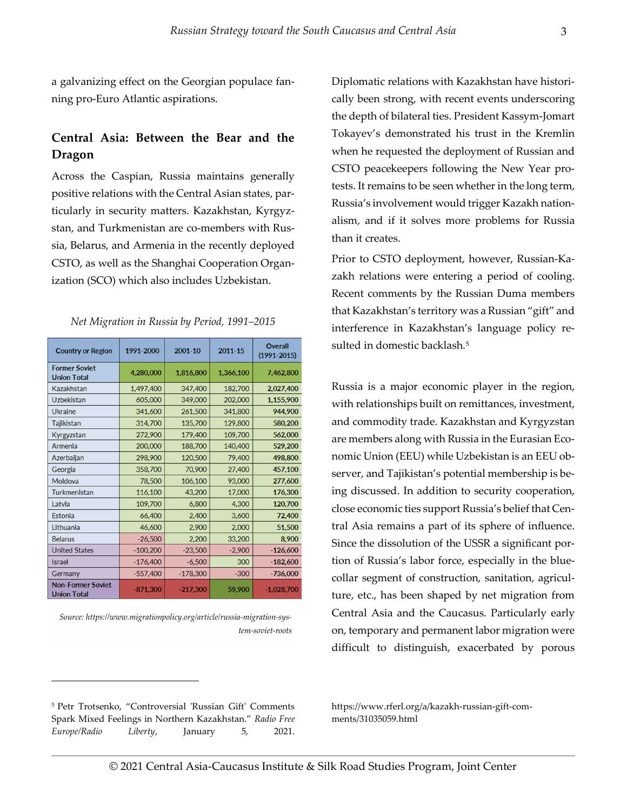a galvanizing effect on the Georgian populace fanning pro-Euro Atlantic aspirations.

## Central Asia: Between the Bear and the Dragon

Across the Caspian, Russia maintains generally positive relations with the Central Asian states, particularly in security matters. Kazakhstan, Kyrgyzstan, and Turkmenistan are co-members with Russia, Belarus, and Armenia in the recently deployed CSTO, as well as the Shanghai Cooperation Organization (SCO) which also includes Uzbekistan.

| <b>Country or Region</b>                       | 1991-2000  | 2001-10    | 2011-15   | <b>Overall</b><br>$(1991 - 2015)$ |
|------------------------------------------------|------------|------------|-----------|-----------------------------------|
| <b>Former Soviet</b><br><b>Union Total</b>     | 4,280,000  | 1,816,800  | 1,366,100 | 7,462,800                         |
| Kazakhstan                                     | 1,497,400  | 347,400    | 182,700   | 2,027,400                         |
| <b>Uzbekistan</b>                              | 605,000    | 349,000    | 202,000   | 1,155,900                         |
| <b>Ukraine</b>                                 | 341,600    | 261,500    | 341,800   | 944,900                           |
| Tajikistan                                     | 314,700    | 135,700    | 129,800   | 580,200                           |
| Kyrgyzstan                                     | 272,900    | 179,400    | 109,700   | 562,000                           |
| Armenia                                        | 200,000    | 188,700    | 140,400   | 529,200                           |
| Azerbaijan                                     | 298,900    | 120,500    | 79,400    | 498,800                           |
| Georgia                                        | 358,700    | 70,900     | 27,400    | 457,100                           |
| Moldova                                        | 78,500     | 106,100    | 93,000    | 277,600                           |
| Turkmenistan                                   | 116,100    | 43,200     | 17,000    | 176,300                           |
| Latvia                                         | 109,700    | 6,800      | 4,300     | 120,700                           |
| Estonia                                        | 66,400     | 2,400      | 3,600     | 72,400                            |
| Lithuania                                      | 46,600     | 2,900      | 2,000     | 51,500                            |
| <b>Belarus</b>                                 | $-26,500$  | 2,200      | 33,200    | 8,900                             |
| <b>United States</b>                           | $-100,200$ | $-23,500$  | $-2,900$  | $-126,600$                        |
| <b>Israel</b>                                  | $-176,400$ | $-6,500$   | 300       | $-182,600$                        |
| Germany                                        | $-557,400$ | $-178,300$ | $-300$    | $-736,000$                        |
| <b>Non-Former Soviet</b><br><b>Union Total</b> | $-871,300$ | $-217,300$ | 59,900    | $-1,028,700$                      |

Net Migration in Russia by Period, 1991–2015

Source: https://www.migrationpolicy.org/article/russia-migration-system-soviet-roots Diplomatic relations with Kazakhstan have historically been strong, with recent events underscoring the depth of bilateral ties. President Kassym-Jomart Tokayev's demonstrated his trust in the Kremlin when he requested the deployment of Russian and CSTO peacekeepers following the New Year protests. It remains to be seen whether in the long term, Russia's involvement would trigger Kazakh nationalism, and if it solves more problems for Russia than it creates.

Prior to CSTO deployment, however, Russian-Kazakh relations were entering a period of cooling. Recent comments by the Russian Duma members that Kazakhstan's territory was a Russian "gift" and interference in Kazakhstan's language policy resulted in domestic backlash.<sup>5</sup>

Russia is a major economic player in the region, with relationships built on remittances, investment, and commodity trade. Kazakhstan and Kyrgyzstan are members along with Russia in the Eurasian Economic Union (EEU) while Uzbekistan is an EEU observer, and Tajikistan's potential membership is being discussed. In addition to security cooperation, close economic ties support Russia's belief that Central Asia remains a part of its sphere of influence. Since the dissolution of the USSR a significant portion of Russia's labor force, especially in the bluecollar segment of construction, sanitation, agriculture, etc., has been shaped by net migration from Central Asia and the Caucasus. Particularly early on, temporary and permanent labor migration were difficult to distinguish, exacerbated by porous

https://www.rferl.org/a/kazakh-russian-gift-comments/31035059.html

<sup>5</sup> Petr Trotsenko, "Controversial 'Russian Gift' Comments Spark Mixed Feelings in Northern Kazakhstan." Radio Free Europe/Radio Liberty, January 5, 2021.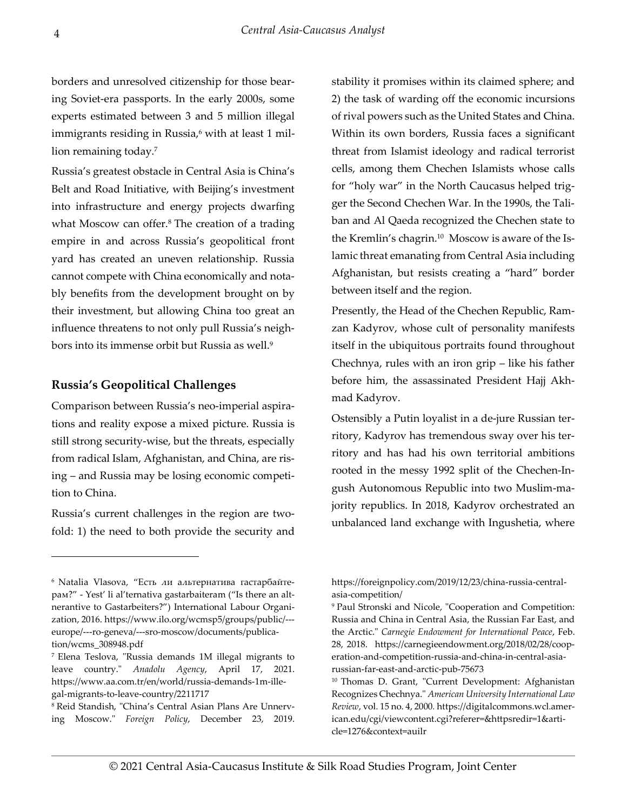borders and unresolved citizenship for those bearing Soviet-era passports. In the early 2000s, some experts estimated between 3 and 5 million illegal immigrants residing in Russia,<sup>6</sup> with at least 1 million remaining today.<sup>7</sup>

Russia's greatest obstacle in Central Asia is China's Belt and Road Initiative, with Beijing's investment into infrastructure and energy projects dwarfing what Moscow can offer.<sup>8</sup> The creation of a trading empire in and across Russia's geopolitical front yard has created an uneven relationship. Russia cannot compete with China economically and notably benefits from the development brought on by their investment, but allowing China too great an influence threatens to not only pull Russia's neighbors into its immense orbit but Russia as well.<sup>9</sup>

### Russia's Geopolitical Challenges

Comparison between Russia's neo-imperial aspirations and reality expose a mixed picture. Russia is still strong security-wise, but the threats, especially from radical Islam, Afghanistan, and China, are rising – and Russia may be losing economic competition to China.

Russia's current challenges in the region are twofold: 1) the need to both provide the security and

8 Reid Standish, "China's Central Asian Plans Are Unnerving Moscow." Foreign Policy, December 23, 2019. stability it promises within its claimed sphere; and 2) the task of warding off the economic incursions of rival powers such as the United States and China. Within its own borders, Russia faces a significant threat from Islamist ideology and radical terrorist cells, among them Chechen Islamists whose calls for "holy war" in the North Caucasus helped trigger the Second Chechen War. In the 1990s, the Taliban and Al Qaeda recognized the Chechen state to the Kremlin's chagrin.10 Moscow is aware of the Islamic threat emanating from Central Asia including Afghanistan, but resists creating a "hard" border between itself and the region.

Presently, the Head of the Chechen Republic, Ramzan Kadyrov, whose cult of personality manifests itself in the ubiquitous portraits found throughout Chechnya, rules with an iron grip – like his father before him, the assassinated President Hajj Akhmad Kadyrov.

Ostensibly a Putin loyalist in a de-jure Russian territory, Kadyrov has tremendous sway over his territory and has had his own territorial ambitions rooted in the messy 1992 split of the Chechen-Ingush Autonomous Republic into two Muslim-majority republics. In 2018, Kadyrov orchestrated an unbalanced land exchange with Ingushetia, where

<sup>6</sup> Natalia Vlasova, "Есть ли альтернатива гастарбайтерам?" - Yest' li al'ternativa gastarbaiteram ("Is there an altnerantive to Gastarbeiters?") International Labour Organization, 2016. https://www.ilo.org/wcmsp5/groups/public/-- europe/---ro-geneva/---sro-moscow/documents/publication/wcms\_308948.pdf

<sup>7</sup> Elena Teslova, "Russia demands 1M illegal migrants to leave country." Anadolu Agency, April 17, 2021. https://www.aa.com.tr/en/world/russia-demands-1m-illegal-migrants-to-leave-country/2211717

https://foreignpolicy.com/2019/12/23/china-russia-centralasia-competition/

<sup>9</sup> Paul Stronski and Nicole, "Cooperation and Competition: Russia and China in Central Asia, the Russian Far East, and the Arctic." Carnegie Endowment for International Peace, Feb. 28, 2018. https://carnegieendowment.org/2018/02/28/cooperation-and-competition-russia-and-china-in-central-asiarussian-far-east-and-arctic-pub-75673

<sup>10</sup> Thomas D. Grant, "Current Development: Afghanistan Recognizes Chechnya." American University International Law Review, vol. 15 no. 4, 2000. https://digitalcommons.wcl.american.edu/cgi/viewcontent.cgi?referer=&httpsredir=1&article=1276&context=auilr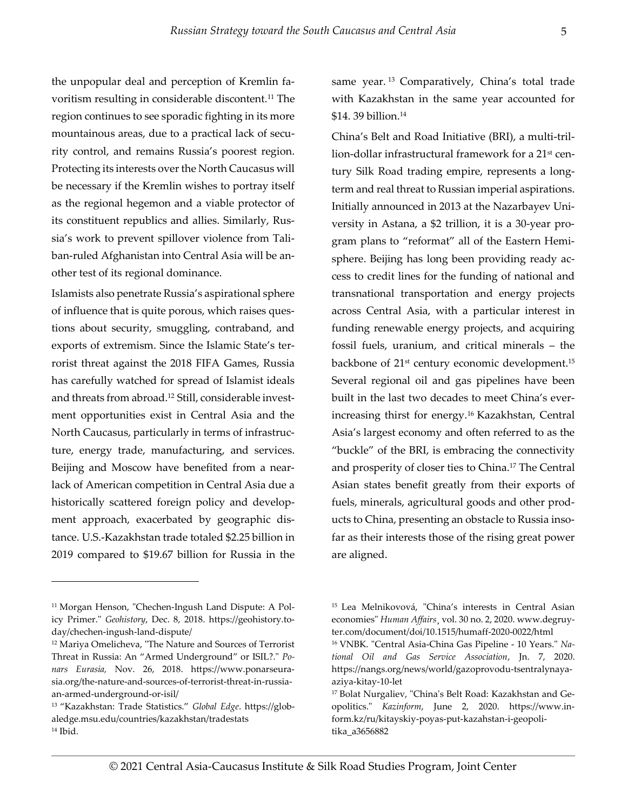the unpopular deal and perception of Kremlin favoritism resulting in considerable discontent.11 The region continues to see sporadic fighting in its more mountainous areas, due to a practical lack of security control, and remains Russia's poorest region. Protecting its interests over the North Caucasus will be necessary if the Kremlin wishes to portray itself as the regional hegemon and a viable protector of its constituent republics and allies. Similarly, Russia's work to prevent spillover violence from Taliban-ruled Afghanistan into Central Asia will be another test of its regional dominance.

Islamists also penetrate Russia's aspirational sphere of influence that is quite porous, which raises questions about security, smuggling, contraband, and exports of extremism. Since the Islamic State's terrorist threat against the 2018 FIFA Games, Russia has carefully watched for spread of Islamist ideals and threats from abroad.12 Still, considerable investment opportunities exist in Central Asia and the North Caucasus, particularly in terms of infrastructure, energy trade, manufacturing, and services. Beijing and Moscow have benefited from a nearlack of American competition in Central Asia due a historically scattered foreign policy and development approach, exacerbated by geographic distance. U.S.-Kazakhstan trade totaled \$2.25 billion in 2019 compared to \$19.67 billion for Russia in the

same year.<sup>13</sup> Comparatively, China's total trade with Kazakhstan in the same year accounted for \$14. 39 billion.<sup>14</sup>

China's Belt and Road Initiative (BRI), a multi-trillion-dollar infrastructural framework for a 21st century Silk Road trading empire, represents a longterm and real threat to Russian imperial aspirations. Initially announced in 2013 at the Nazarbayev University in Astana, a \$2 trillion, it is a 30-year program plans to "reformat" all of the Eastern Hemisphere. Beijing has long been providing ready access to credit lines for the funding of national and transnational transportation and energy projects across Central Asia, with a particular interest in funding renewable energy projects, and acquiring fossil fuels, uranium, and critical minerals – the backbone of 21<sup>st</sup> century economic development.<sup>15</sup> Several regional oil and gas pipelines have been built in the last two decades to meet China's everincreasing thirst for energy.16 Kazakhstan, Central Asia's largest economy and often referred to as the "buckle" of the BRI, is embracing the connectivity and prosperity of closer ties to China.17 The Central Asian states benefit greatly from their exports of fuels, minerals, agricultural goods and other products to China, presenting an obstacle to Russia insofar as their interests those of the rising great power are aligned.

<sup>&</sup>lt;sup>11</sup> Morgan Henson, "Chechen-Ingush Land Dispute: A Policy Primer." Geohistory, Dec. 8, 2018. https://geohistory.today/chechen-ingush-land-dispute/

<sup>12</sup> Mariya Omelicheva, "The Nature and Sources of Terrorist Threat in Russia: An "Armed Underground" or ISIL?." Ponars Eurasia, Nov. 26, 2018. https://www.ponarseurasia.org/the-nature-and-sources-of-terrorist-threat-in-russiaan-armed-underground-or-isil/

<sup>&</sup>lt;sup>13</sup> "Kazakhstan: Trade Statistics." Global Edge. https://globaledge.msu.edu/countries/kazakhstan/tradestats  $14$  Ibid.

<sup>15</sup> Lea Melnikovová, "China's interests in Central Asian economies" Human Affairs¸ vol. 30 no. 2, 2020. www.degruyter.com/document/doi/10.1515/humaff-2020-0022/html 16 VNBK. "Central Asia-China Gas Pipeline - 10 Years." National Oil and Gas Service Association, Jn. 7, 2020. https://nangs.org/news/world/gazoprovodu-tsentralynaya-

aziya-kitay-10-let 17 Bolat Nurgaliev, "China's Belt Road: Kazakhstan and Ge-

opolitics." Kazinform, June 2, 2020. https://www.inform.kz/ru/kitayskiy-poyas-put-kazahstan-i-geopolitika\_a3656882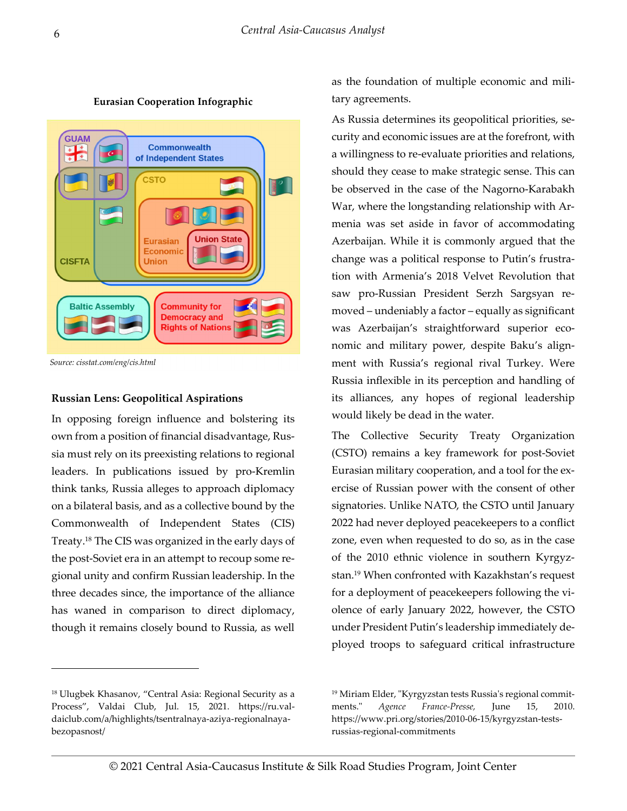

Eurasian Cooperation Infographic

Source: cisstat.com/eng/cis.html

#### Russian Lens: Geopolitical Aspirations

In opposing foreign influence and bolstering its own from a position of financial disadvantage, Russia must rely on its preexisting relations to regional leaders. In publications issued by pro-Kremlin think tanks, Russia alleges to approach diplomacy on a bilateral basis, and as a collective bound by the Commonwealth of Independent States (CIS) Treaty.18 The CIS was organized in the early days of the post-Soviet era in an attempt to recoup some regional unity and confirm Russian leadership. In the three decades since, the importance of the alliance has waned in comparison to direct diplomacy, though it remains closely bound to Russia, as well

<sup>18</sup> Ulugbek Khasanov, "Central Asia: Regional Security as a Process", Valdai Club, Jul. 15, 2021. https://ru.valdaiclub.com/a/highlights/tsentralnaya-aziya-regionalnayabezopasnost/

as the foundation of multiple economic and military agreements.

As Russia determines its geopolitical priorities, security and economic issues are at the forefront, with a willingness to re-evaluate priorities and relations, should they cease to make strategic sense. This can be observed in the case of the Nagorno-Karabakh War, where the longstanding relationship with Armenia was set aside in favor of accommodating Azerbaijan. While it is commonly argued that the change was a political response to Putin's frustration with Armenia's 2018 Velvet Revolution that saw pro-Russian President Serzh Sargsyan removed – undeniably a factor – equally as significant was Azerbaijan's straightforward superior economic and military power, despite Baku's alignment with Russia's regional rival Turkey. Were Russia inflexible in its perception and handling of its alliances, any hopes of regional leadership would likely be dead in the water.

The Collective Security Treaty Organization (CSTO) remains a key framework for post-Soviet Eurasian military cooperation, and a tool for the exercise of Russian power with the consent of other signatories. Unlike NATO, the CSTO until January 2022 had never deployed peacekeepers to a conflict zone, even when requested to do so, as in the case of the 2010 ethnic violence in southern Kyrgyzstan.19 When confronted with Kazakhstan's request for a deployment of peacekeepers following the violence of early January 2022, however, the CSTO under President Putin's leadership immediately deployed troops to safeguard critical infrastructure

<sup>19</sup> Miriam Elder, "Kyrgyzstan tests Russia's regional commitments." *Agence France-Presse*, June 15, 2010. https://www.pri.org/stories/2010-06-15/kyrgyzstan-testsrussias-regional-commitments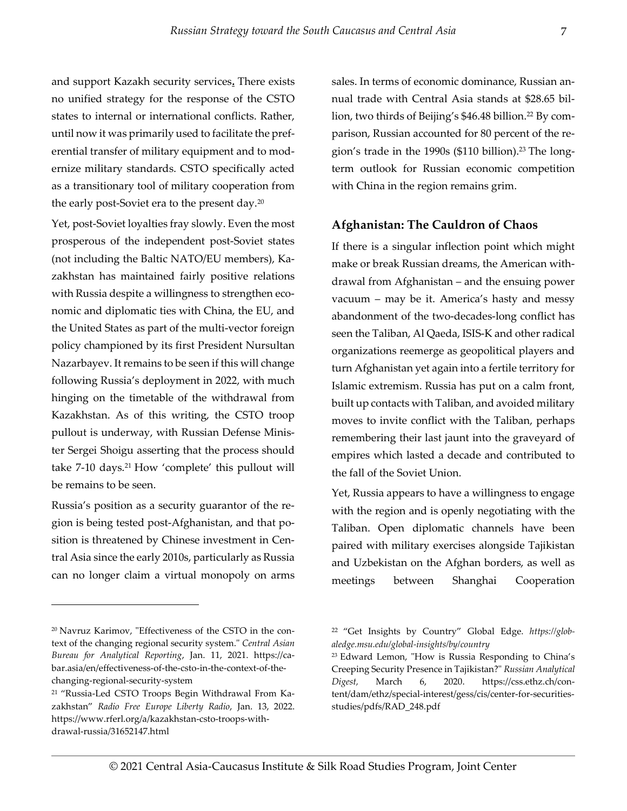7

and support Kazakh security services. There exists no unified strategy for the response of the CSTO states to internal or international conflicts. Rather, until now it was primarily used to facilitate the preferential transfer of military equipment and to modernize military standards. CSTO specifically acted as a transitionary tool of military cooperation from the early post-Soviet era to the present day.<sup>20</sup>

Yet, post-Soviet loyalties fray slowly. Even the most prosperous of the independent post-Soviet states (not including the Baltic NATO/EU members), Kazakhstan has maintained fairly positive relations with Russia despite a willingness to strengthen economic and diplomatic ties with China, the EU, and the United States as part of the multi-vector foreign policy championed by its first President Nursultan Nazarbayev. It remains to be seen if this will change following Russia's deployment in 2022, with much hinging on the timetable of the withdrawal from Kazakhstan. As of this writing, the CSTO troop pullout is underway, with Russian Defense Minister Sergei Shoigu asserting that the process should take 7-10 days.<sup>21</sup> How 'complete' this pullout will be remains to be seen.

Russia's position as a security guarantor of the region is being tested post-Afghanistan, and that position is threatened by Chinese investment in Central Asia since the early 2010s, particularly as Russia can no longer claim a virtual monopoly on arms

sales. In terms of economic dominance, Russian annual trade with Central Asia stands at \$28.65 billion, two thirds of Beijing's \$46.48 billion.<sup>22</sup> By comparison, Russian accounted for 80 percent of the region's trade in the 1990s (\$110 billion).<sup>23</sup> The longterm outlook for Russian economic competition with China in the region remains grim.

## Afghanistan: The Cauldron of Chaos

If there is a singular inflection point which might make or break Russian dreams, the American withdrawal from Afghanistan – and the ensuing power vacuum – may be it. America's hasty and messy abandonment of the two-decades-long conflict has seen the Taliban, Al Qaeda, ISIS-K and other radical organizations reemerge as geopolitical players and turn Afghanistan yet again into a fertile territory for Islamic extremism. Russia has put on a calm front, built up contacts with Taliban, and avoided military moves to invite conflict with the Taliban, perhaps remembering their last jaunt into the graveyard of empires which lasted a decade and contributed to the fall of the Soviet Union.

Yet, Russia appears to have a willingness to engage with the region and is openly negotiating with the Taliban. Open diplomatic channels have been paired with military exercises alongside Tajikistan and Uzbekistan on the Afghan borders, as well as meetings between Shanghai Cooperation

<sup>20</sup> Navruz Karimov, "Effectiveness of the CSTO in the context of the changing regional security system." Central Asian Bureau for Analytical Reporting, Jan. 11, 2021. https://cabar.asia/en/effectiveness-of-the-csto-in-the-context-of-thechanging-regional-security-system

<sup>21</sup> "Russia-Led CSTO Troops Begin Withdrawal From Kazakhstan" Radio Free Europe Liberty Radio, Jan. 13, 2022. https://www.rferl.org/a/kazakhstan-csto-troops-withdrawal-russia/31652147.html

<sup>&</sup>lt;sup>22</sup> "Get Insights by Country" Global Edge. https://globaledge.msu.edu/global-insights/by/country

<sup>23</sup> Edward Lemon, "How is Russia Responding to China's Creeping Security Presence in Tajikistan?" Russian Analytical Digest, March 6, 2020. https://css.ethz.ch/content/dam/ethz/special-interest/gess/cis/center-for-securitiesstudies/pdfs/RAD\_248.pdf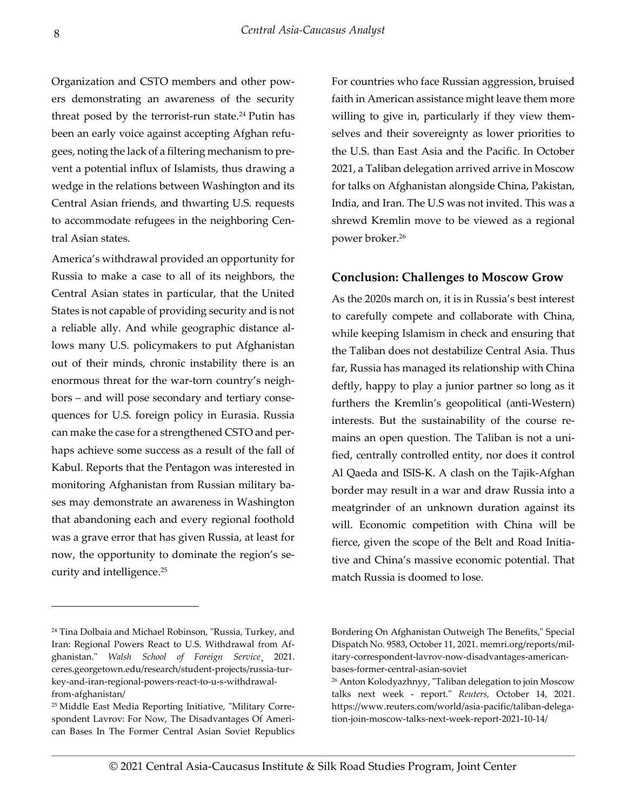Organization and CSTO members and other powers demonstrating an awareness of the security threat posed by the terrorist-run state.<sup>24</sup> Putin has been an early voice against accepting Afghan refugees, noting the lack of a filtering mechanism to prevent a potential influx of Islamists, thus drawing a wedge in the relations between Washington and its Central Asian friends, and thwarting U.S. requests to accommodate refugees in the neighboring Central Asian states.

America's withdrawal provided an opportunity for Russia to make a case to all of its neighbors, the Central Asian states in particular, that the United States is not capable of providing security and is not a reliable ally. And while geographic distance allows many U.S. policymakers to put Afghanistan out of their minds, chronic instability there is an enormous threat for the war-torn country's neighbors – and will pose secondary and tertiary consequences for U.S. foreign policy in Eurasia. Russia can make the case for a strengthened CSTO and perhaps achieve some success as a result of the fall of Kabul. Reports that the Pentagon was interested in monitoring Afghanistan from Russian military bases may demonstrate an awareness in Washington that abandoning each and every regional foothold was a grave error that has given Russia, at least for now, the opportunity to dominate the region's security and intelligence.<sup>25</sup>

For countries who face Russian aggression, bruised faith in American assistance might leave them more willing to give in, particularly if they view themselves and their sovereignty as lower priorities to the U.S. than East Asia and the Pacific. In October 2021, a Taliban delegation arrived arrive in Moscow for talks on Afghanistan alongside China, Pakistan, India, and Iran. The U.S was not invited. This was a shrewd Kremlin move to be viewed as a regional power broker.<sup>26</sup>

#### Conclusion: Challenges to Moscow Grow

As the 2020s march on, it is in Russia's best interest to carefully compete and collaborate with China, while keeping Islamism in check and ensuring that the Taliban does not destabilize Central Asia. Thus far, Russia has managed its relationship with China deftly, happy to play a junior partner so long as it furthers the Kremlin's geopolitical (anti-Western) interests. But the sustainability of the course remains an open question. The Taliban is not a unified, centrally controlled entity, nor does it control Al Qaeda and ISIS-K. A clash on the Tajik-Afghan border may result in a war and draw Russia into a meatgrinder of an unknown duration against its will. Economic competition with China will be fierce, given the scope of the Belt and Road Initiative and China's massive economic potential. That match Russia is doomed to lose.

<sup>24</sup> Tina Dolbaia and Michael Robinson, "Russia, Turkey, and Iran: Regional Powers React to U.S. Withdrawal from Afghanistan." Walsh School of Foreign Service¸ 2021. ceres.georgetown.edu/research/student-projects/russia-turkey-and-iran-regional-powers-react-to-u-s-withdrawalfrom-afghanistan/

<sup>25</sup> Middle East Media Reporting Initiative, "Military Correspondent Lavrov: For Now, The Disadvantages Of American Bases In The Former Central Asian Soviet Republics

Bordering On Afghanistan Outweigh The Benefits," Special Dispatch No. 9583, October 11, 2021. memri.org/reports/military-correspondent-lavrov-now-disadvantages-americanbases-former-central-asian-soviet

<sup>26</sup> Anton Kolodyazhnyy, "Taliban delegation to join Moscow talks next week - report." Reuters, October 14, 2021. https://www.reuters.com/world/asia-pacific/taliban-delegation-join-moscow-talks-next-week-report-2021-10-14/